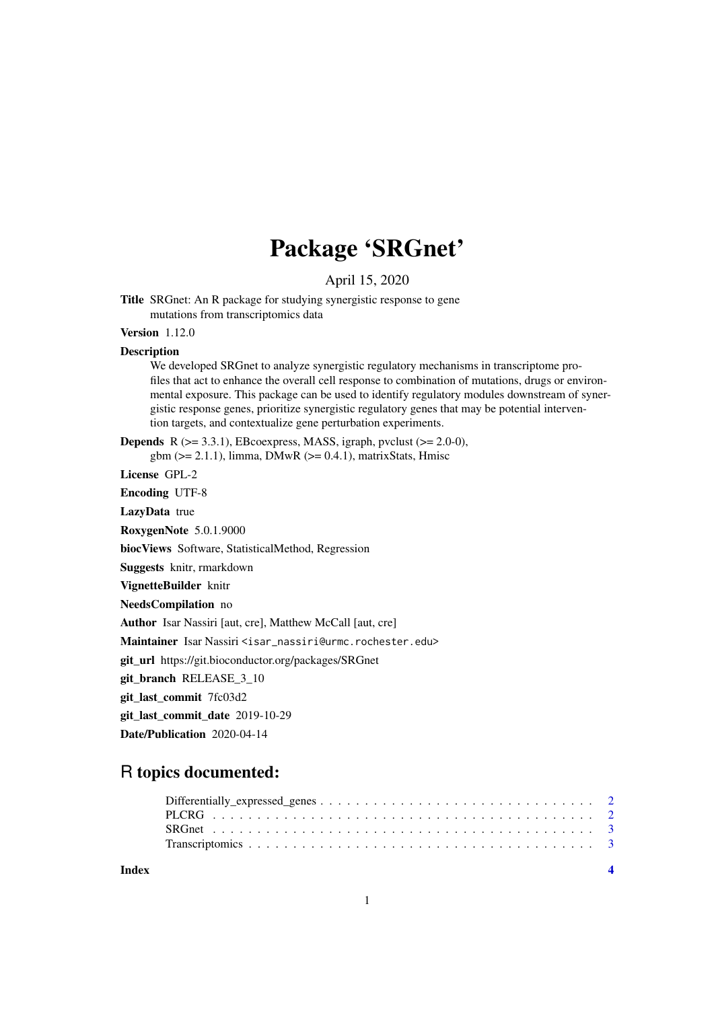# Package 'SRGnet'

April 15, 2020

Title SRGnet: An R package for studying synergistic response to gene mutations from transcriptomics data

Version 1.12.0

#### Description

We developed SRGnet to analyze synergistic regulatory mechanisms in transcriptome profiles that act to enhance the overall cell response to combination of mutations, drugs or environmental exposure. This package can be used to identify regulatory modules downstream of synergistic response genes, prioritize synergistic regulatory genes that may be potential intervention targets, and contextualize gene perturbation experiments.

**Depends** R  $(>= 3.3.1)$ , EBcoexpress, MASS, igraph, pvclust  $(>= 2.0-0)$ , gbm ( $>= 2.1.1$ ), limma, DMwR ( $>= 0.4.1$ ), matrixStats, Hmisc

License GPL-2

Encoding UTF-8

LazyData true

RoxygenNote 5.0.1.9000

biocViews Software, StatisticalMethod, Regression

Suggests knitr, rmarkdown

VignetteBuilder knitr

NeedsCompilation no

Author Isar Nassiri [aut, cre], Matthew McCall [aut, cre]

Maintainer Isar Nassiri <isar\_nassiri@urmc.rochester.edu>

git\_url https://git.bioconductor.org/packages/SRGnet

git\_branch\_RELEASE\_3\_10

git\_last\_commit 7fc03d2

git last commit date 2019-10-29

Date/Publication 2020-04-14

# R topics documented:

#### **Index** [4](#page-3-0)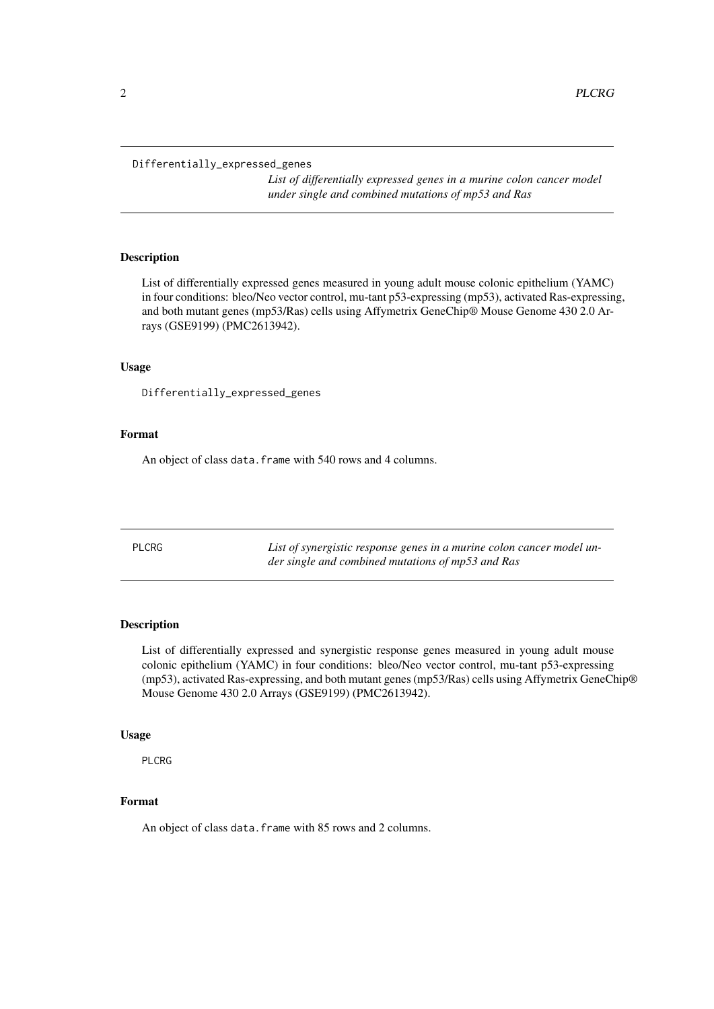#### <span id="page-1-0"></span>Differentially\_expressed\_genes

*List of differentially expressed genes in a murine colon cancer model under single and combined mutations of mp53 and Ras*

# Description

List of differentially expressed genes measured in young adult mouse colonic epithelium (YAMC) in four conditions: bleo/Neo vector control, mu-tant p53-expressing (mp53), activated Ras-expressing, and both mutant genes (mp53/Ras) cells using Affymetrix GeneChip® Mouse Genome 430 2.0 Arrays (GSE9199) (PMC2613942).

## Usage

Differentially\_expressed\_genes

#### Format

An object of class data.frame with 540 rows and 4 columns.

PLCRG *List of synergistic response genes in a murine colon cancer model under single and combined mutations of mp53 and Ras*

## Description

List of differentially expressed and synergistic response genes measured in young adult mouse colonic epithelium (YAMC) in four conditions: bleo/Neo vector control, mu-tant p53-expressing (mp53), activated Ras-expressing, and both mutant genes (mp53/Ras) cells using Affymetrix GeneChip® Mouse Genome 430 2.0 Arrays (GSE9199) (PMC2613942).

#### Usage

PLCRG

# Format

An object of class data.frame with 85 rows and 2 columns.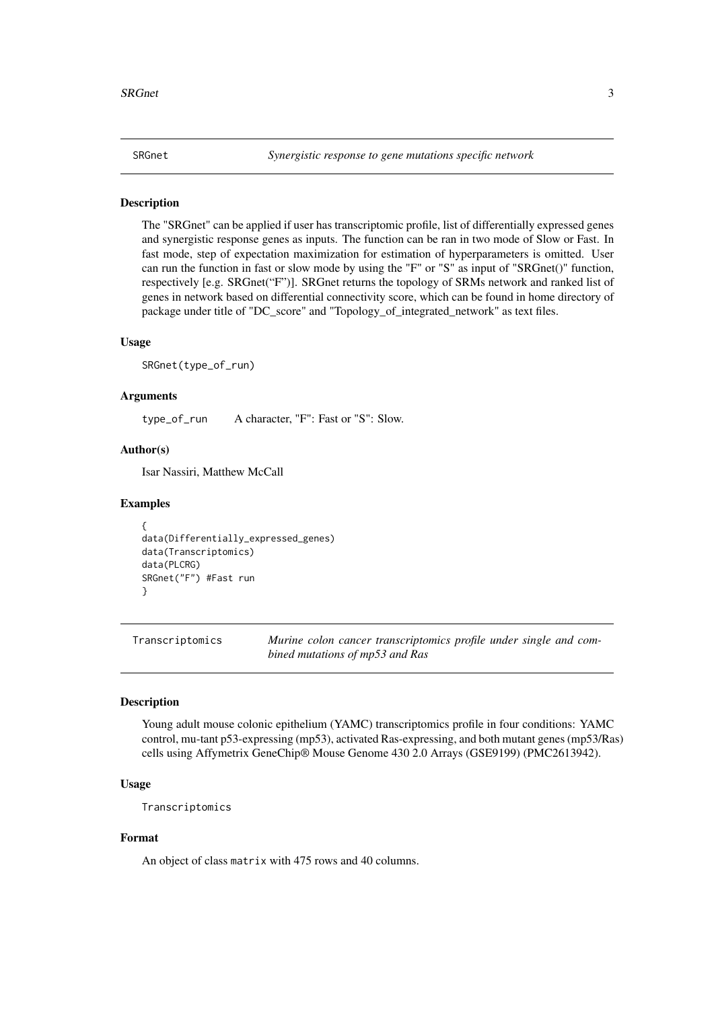<span id="page-2-0"></span>

# Description

The "SRGnet" can be applied if user has transcriptomic profile, list of differentially expressed genes and synergistic response genes as inputs. The function can be ran in two mode of Slow or Fast. In fast mode, step of expectation maximization for estimation of hyperparameters is omitted. User can run the function in fast or slow mode by using the "F" or "S" as input of "SRGnet()" function, respectively [e.g. SRGnet("F")]. SRGnet returns the topology of SRMs network and ranked list of genes in network based on differential connectivity score, which can be found in home directory of package under title of "DC\_score" and "Topology\_of\_integrated\_network" as text files.

#### Usage

SRGnet(type\_of\_run)

#### Arguments

type\_of\_run A character, "F": Fast or "S": Slow.

#### Author(s)

Isar Nassiri, Matthew McCall

#### Examples

```
{
data(Differentially_expressed_genes)
data(Transcriptomics)
data(PLCRG)
SRGnet("F") #Fast run
}
```
Transcriptomics *Murine colon cancer transcriptomics profile under single and combined mutations of mp53 and Ras*

#### Description

Young adult mouse colonic epithelium (YAMC) transcriptomics profile in four conditions: YAMC control, mu-tant p53-expressing (mp53), activated Ras-expressing, and both mutant genes (mp53/Ras) cells using Affymetrix GeneChip® Mouse Genome 430 2.0 Arrays (GSE9199) (PMC2613942).

#### Usage

Transcriptomics

## Format

An object of class matrix with 475 rows and 40 columns.